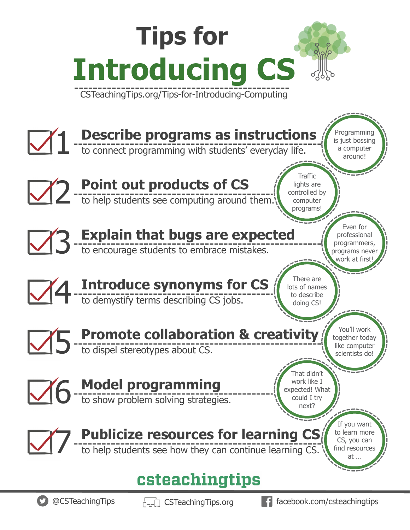